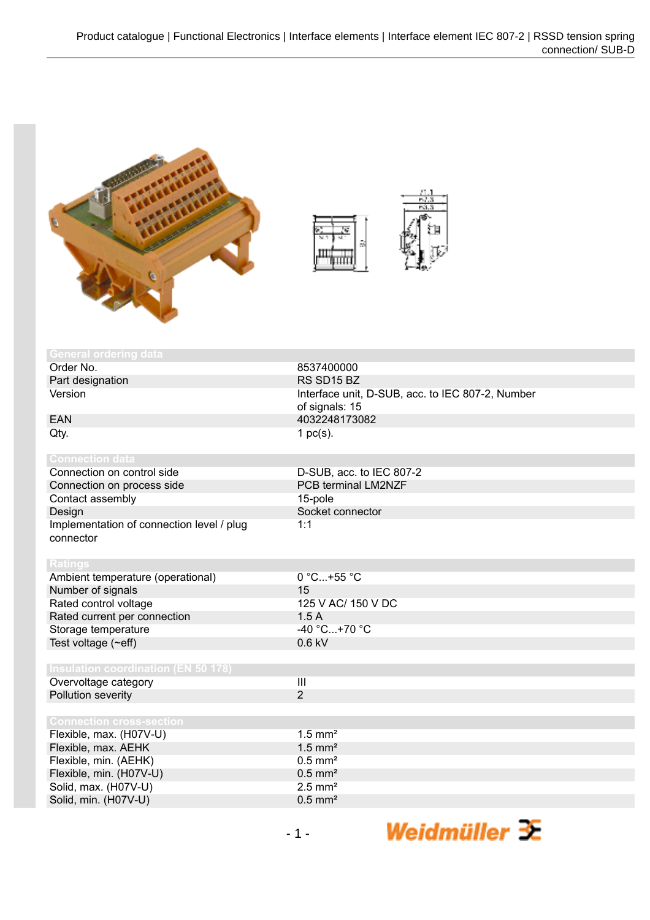



| <b>General ordering data</b>               |                                                  |
|--------------------------------------------|--------------------------------------------------|
| Order No.                                  | 8537400000                                       |
| Part designation                           | RS SD15 BZ                                       |
| Version                                    | Interface unit, D-SUB, acc. to IEC 807-2, Number |
|                                            | of signals: 15                                   |
| <b>EAN</b>                                 | 4032248173082                                    |
| Qty.                                       | 1 $pc(s)$ .                                      |
|                                            |                                                  |
| <b>Connection data</b>                     |                                                  |
| Connection on control side                 | D-SUB, acc. to IEC 807-2                         |
| Connection on process side                 | <b>PCB terminal LM2NZF</b>                       |
| Contact assembly                           | 15-pole                                          |
| Design                                     | Socket connector                                 |
| Implementation of connection level / plug  | 1:1                                              |
| connector                                  |                                                  |
|                                            |                                                  |
| <b>Ratings</b>                             |                                                  |
| Ambient temperature (operational)          | 0 °C+55 °C                                       |
| Number of signals                          | 15                                               |
| Rated control voltage                      | 125 V AC/ 150 V DC                               |
| Rated current per connection               | 1.5A                                             |
| Storage temperature                        | $-40 °C+70 °C$                                   |
| Test voltage (~eff)                        | $0.6$ kV                                         |
|                                            |                                                  |
| <b>Insulation coordination (EN 50 178)</b> |                                                  |
| Overvoltage category                       | $\overline{\mathbf{III}}$                        |
| Pollution severity                         | $\overline{2}$                                   |
|                                            |                                                  |
| <b>Connection cross-section</b>            |                                                  |
| Flexible, max. (H07V-U)                    | $1.5$ mm <sup>2</sup>                            |
| Flexible, max. AEHK                        | $1.5$ mm <sup>2</sup>                            |
| Flexible, min. (AEHK)                      | $0.5$ mm <sup>2</sup>                            |
| Flexible, min. (H07V-U)                    | $0.5$ mm <sup>2</sup>                            |
| Solid, max. (H07V-U)                       | $2.5$ mm <sup>2</sup>                            |
| Solid, min. (H07V-U)                       | $0.5$ mm <sup>2</sup>                            |
|                                            |                                                  |

Weidmüller  $\mathcal{\mathcal{F}}$